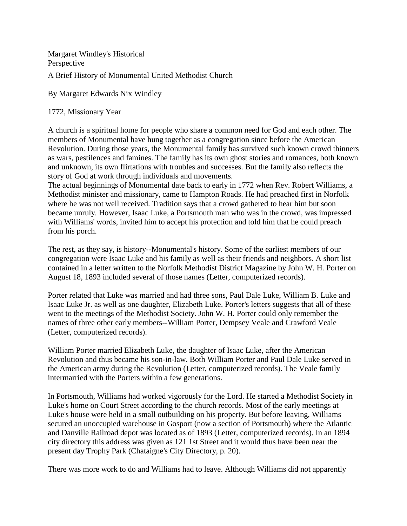Margaret Windley's Historical Perspective A Brief History of Monumental United Methodist Church

By Margaret Edwards Nix Windley

1772, Missionary Year

A church is a spiritual home for people who share a common need for God and each other. The members of Monumental have hung together as a congregation since before the American Revolution. During those years, the Monumental family has survived such known crowd thinners as wars, pestilences and famines. The family has its own ghost stories and romances, both known and unknown, its own flirtations with troubles and successes. But the family also reflects the story of God at work through individuals and movements.

The actual beginnings of Monumental date back to early in 1772 when Rev. Robert Williams, a Methodist minister and missionary, came to Hampton Roads. He had preached first in Norfolk where he was not well received. Tradition says that a crowd gathered to hear him but soon became unruly. However, Isaac Luke, a Portsmouth man who was in the crowd, was impressed with Williams' words, invited him to accept his protection and told him that he could preach from his porch.

The rest, as they say, is history--Monumental's history. Some of the earliest members of our congregation were Isaac Luke and his family as well as their friends and neighbors. A short list contained in a letter written to the Norfolk Methodist District Magazine by John W. H. Porter on August 18, 1893 included several of those names (Letter, computerized records).

Porter related that Luke was married and had three sons, Paul Dale Luke, William B. Luke and Isaac Luke Jr. as well as one daughter, Elizabeth Luke. Porter's letters suggests that all of these went to the meetings of the Methodist Society. John W. H. Porter could only remember the names of three other early members--William Porter, Dempsey Veale and Crawford Veale (Letter, computerized records).

William Porter married Elizabeth Luke, the daughter of Isaac Luke, after the American Revolution and thus became his son-in-law. Both William Porter and Paul Dale Luke served in the American army during the Revolution (Letter, computerized records). The Veale family intermarried with the Porters within a few generations.

In Portsmouth, Williams had worked vigorously for the Lord. He started a Methodist Society in Luke's home on Court Street according to the church records. Most of the early meetings at Luke's house were held in a small outbuilding on his property. But before leaving, Williams secured an unoccupied warehouse in Gosport (now a section of Portsmouth) where the Atlantic and Danville Railroad depot was located as of 1893 (Letter, computerized records). In an 1894 city directory this address was given as 121 1st Street and it would thus have been near the present day Trophy Park (Chataigne's City Directory, p. 20).

There was more work to do and Williams had to leave. Although Williams did not apparently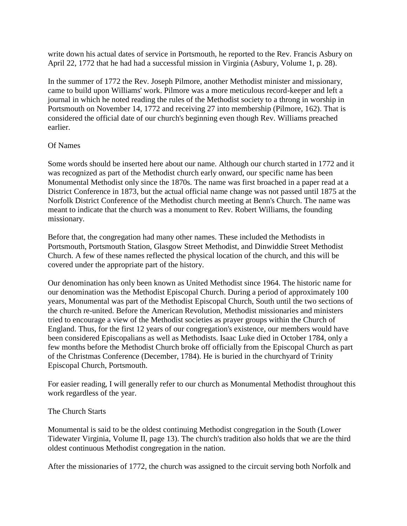write down his actual dates of service in Portsmouth, he reported to the Rev. Francis Asbury on April 22, 1772 that he had had a successful mission in Virginia (Asbury, Volume 1, p. 28).

In the summer of 1772 the Rev. Joseph Pilmore, another Methodist minister and missionary, came to build upon Williams' work. Pilmore was a more meticulous record-keeper and left a journal in which he noted reading the rules of the Methodist society to a throng in worship in Portsmouth on November 14, 1772 and receiving 27 into membership (Pilmore, 162). That is considered the official date of our church's beginning even though Rev. Williams preached earlier.

## Of Names

Some words should be inserted here about our name. Although our church started in 1772 and it was recognized as part of the Methodist church early onward, our specific name has been Monumental Methodist only since the 1870s. The name was first broached in a paper read at a District Conference in 1873, but the actual official name change was not passed until 1875 at the Norfolk District Conference of the Methodist church meeting at Benn's Church. The name was meant to indicate that the church was a monument to Rev. Robert Williams, the founding missionary.

Before that, the congregation had many other names. These included the Methodists in Portsmouth, Portsmouth Station, Glasgow Street Methodist, and Dinwiddie Street Methodist Church. A few of these names reflected the physical location of the church, and this will be covered under the appropriate part of the history.

Our denomination has only been known as United Methodist since 1964. The historic name for our denomination was the Methodist Episcopal Church. During a period of approximately 100 years, Monumental was part of the Methodist Episcopal Church, South until the two sections of the church re-united. Before the American Revolution, Methodist missionaries and ministers tried to encourage a view of the Methodist societies as prayer groups within the Church of England. Thus, for the first 12 years of our congregation's existence, our members would have been considered Episcopalians as well as Methodists. Isaac Luke died in October 1784, only a few months before the Methodist Church broke off officially from the Episcopal Church as part of the Christmas Conference (December, 1784). He is buried in the churchyard of Trinity Episcopal Church, Portsmouth.

For easier reading, I will generally refer to our church as Monumental Methodist throughout this work regardless of the year.

## The Church Starts

Monumental is said to be the oldest continuing Methodist congregation in the South (Lower Tidewater Virginia, Volume II, page 13). The church's tradition also holds that we are the third oldest continuous Methodist congregation in the nation.

After the missionaries of 1772, the church was assigned to the circuit serving both Norfolk and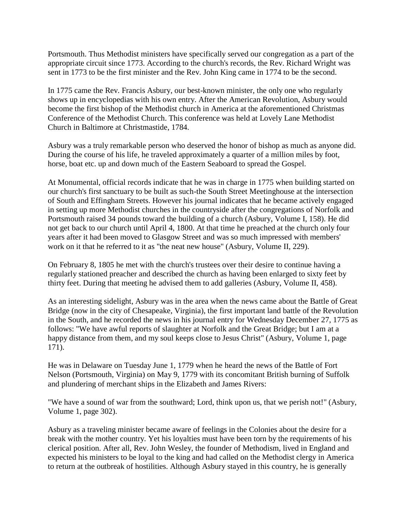Portsmouth. Thus Methodist ministers have specifically served our congregation as a part of the appropriate circuit since 1773. According to the church's records, the Rev. Richard Wright was sent in 1773 to be the first minister and the Rev. John King came in 1774 to be the second.

In 1775 came the Rev. Francis Asbury, our best-known minister, the only one who regularly shows up in encyclopedias with his own entry. After the American Revolution, Asbury would become the first bishop of the Methodist church in America at the aforementioned Christmas Conference of the Methodist Church. This conference was held at Lovely Lane Methodist Church in Baltimore at Christmastide, 1784.

Asbury was a truly remarkable person who deserved the honor of bishop as much as anyone did. During the course of his life, he traveled approximately a quarter of a million miles by foot, horse, boat etc. up and down much of the Eastern Seaboard to spread the Gospel.

At Monumental, official records indicate that he was in charge in 1775 when building started on our church's first sanctuary to be built as such-the South Street Meetinghouse at the intersection of South and Effingham Streets. However his journal indicates that he became actively engaged in setting up more Methodist churches in the countryside after the congregations of Norfolk and Portsmouth raised 34 pounds toward the building of a church (Asbury, Volume I, 158). He did not get back to our church until April 4, 1800. At that time he preached at the church only four years after it had been moved to Glasgow Street and was so much impressed with members' work on it that he referred to it as "the neat new house" (Asbury, Volume II, 229).

On February 8, 1805 he met with the church's trustees over their desire to continue having a regularly stationed preacher and described the church as having been enlarged to sixty feet by thirty feet. During that meeting he advised them to add galleries (Asbury, Volume II, 458).

As an interesting sidelight, Asbury was in the area when the news came about the Battle of Great Bridge (now in the city of Chesapeake, Virginia), the first important land battle of the Revolution in the South, and he recorded the news in his journal entry for Wednesday December 27, 1775 as follows: "We have awful reports of slaughter at Norfolk and the Great Bridge; but I am at a happy distance from them, and my soul keeps close to Jesus Christ" (Asbury, Volume 1, page 171).

He was in Delaware on Tuesday June 1, 1779 when he heard the news of the Battle of Fort Nelson (Portsmouth, Virginia) on May 9, 1779 with its concomitant British burning of Suffolk and plundering of merchant ships in the Elizabeth and James Rivers:

"We have a sound of war from the southward; Lord, think upon us, that we perish not!" (Asbury, Volume 1, page 302).

Asbury as a traveling minister became aware of feelings in the Colonies about the desire for a break with the mother country. Yet his loyalties must have been torn by the requirements of his clerical position. After all, Rev. John Wesley, the founder of Methodism, lived in England and expected his ministers to be loyal to the king and had called on the Methodist clergy in America to return at the outbreak of hostilities. Although Asbury stayed in this country, he is generally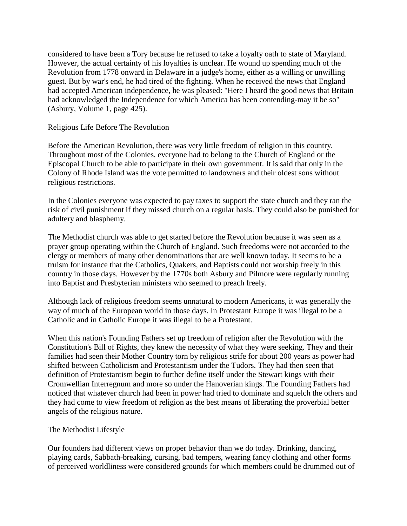considered to have been a Tory because he refused to take a loyalty oath to state of Maryland. However, the actual certainty of his loyalties is unclear. He wound up spending much of the Revolution from 1778 onward in Delaware in a judge's home, either as a willing or unwilling guest. But by war's end, he had tired of the fighting. When he received the news that England had accepted American independence, he was pleased: "Here I heard the good news that Britain had acknowledged the Independence for which America has been contending-may it be so" (Asbury, Volume 1, page 425).

Religious Life Before The Revolution

Before the American Revolution, there was very little freedom of religion in this country. Throughout most of the Colonies, everyone had to belong to the Church of England or the Episcopal Church to be able to participate in their own government. It is said that only in the Colony of Rhode Island was the vote permitted to landowners and their oldest sons without religious restrictions.

In the Colonies everyone was expected to pay taxes to support the state church and they ran the risk of civil punishment if they missed church on a regular basis. They could also be punished for adultery and blasphemy.

The Methodist church was able to get started before the Revolution because it was seen as a prayer group operating within the Church of England. Such freedoms were not accorded to the clergy or members of many other denominations that are well known today. It seems to be a truism for instance that the Catholics, Quakers, and Baptists could not worship freely in this country in those days. However by the 1770s both Asbury and Pilmore were regularly running into Baptist and Presbyterian ministers who seemed to preach freely.

Although lack of religious freedom seems unnatural to modern Americans, it was generally the way of much of the European world in those days. In Protestant Europe it was illegal to be a Catholic and in Catholic Europe it was illegal to be a Protestant.

When this nation's Founding Fathers set up freedom of religion after the Revolution with the Constitution's Bill of Rights, they knew the necessity of what they were seeking. They and their families had seen their Mother Country torn by religious strife for about 200 years as power had shifted between Catholicism and Protestantism under the Tudors. They had then seen that definition of Protestantism begin to further define itself under the Stewart kings with their Cromwellian Interregnum and more so under the Hanoverian kings. The Founding Fathers had noticed that whatever church had been in power had tried to dominate and squelch the others and they had come to view freedom of religion as the best means of liberating the proverbial better angels of the religious nature.

## The Methodist Lifestyle

Our founders had different views on proper behavior than we do today. Drinking, dancing, playing cards, Sabbath-breaking, cursing, bad tempers, wearing fancy clothing and other forms of perceived worldliness were considered grounds for which members could be drummed out of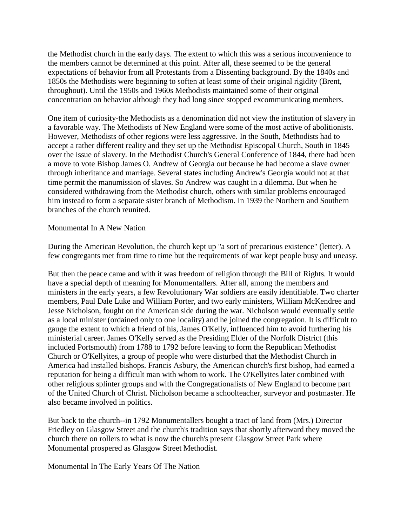the Methodist church in the early days. The extent to which this was a serious inconvenience to the members cannot be determined at this point. After all, these seemed to be the general expectations of behavior from all Protestants from a Dissenting background. By the 1840s and 1850s the Methodists were beginning to soften at least some of their original rigidity (Brent, throughout). Until the 1950s and 1960s Methodists maintained some of their original concentration on behavior although they had long since stopped excommunicating members.

One item of curiosity-the Methodists as a denomination did not view the institution of slavery in a favorable way. The Methodists of New England were some of the most active of abolitionists. However, Methodists of other regions were less aggressive. In the South, Methodists had to accept a rather different reality and they set up the Methodist Episcopal Church, South in 1845 over the issue of slavery. In the Methodist Church's General Conference of 1844, there had been a move to vote Bishop James O. Andrew of Georgia out because he had become a slave owner through inheritance and marriage. Several states including Andrew's Georgia would not at that time permit the manumission of slaves. So Andrew was caught in a dilemma. But when he considered withdrawing from the Methodist church, others with similar problems encouraged him instead to form a separate sister branch of Methodism. In 1939 the Northern and Southern branches of the church reunited.

## Monumental In A New Nation

During the American Revolution, the church kept up "a sort of precarious existence" (letter). A few congregants met from time to time but the requirements of war kept people busy and uneasy.

But then the peace came and with it was freedom of religion through the Bill of Rights. It would have a special depth of meaning for Monumentallers. After all, among the members and ministers in the early years, a few Revolutionary War soldiers are easily identifiable. Two charter members, Paul Dale Luke and William Porter, and two early ministers, William McKendree and Jesse Nicholson, fought on the American side during the war. Nicholson would eventually settle as a local minister (ordained only to one locality) and he joined the congregation. It is difficult to gauge the extent to which a friend of his, James O'Kelly, influenced him to avoid furthering his ministerial career. James O'Kelly served as the Presiding Elder of the Norfolk District (this included Portsmouth) from 1788 to 1792 before leaving to form the Republican Methodist Church or O'Kellyites, a group of people who were disturbed that the Methodist Church in America had installed bishops. Francis Asbury, the American church's first bishop, had earned a reputation for being a difficult man with whom to work. The O'Kellyites later combined with other religious splinter groups and with the Congregationalists of New England to become part of the United Church of Christ. Nicholson became a schoolteacher, surveyor and postmaster. He also became involved in politics.

But back to the church--in 1792 Monumentallers bought a tract of land from (Mrs.) Director Friedley on Glasgow Street and the church's tradition says that shortly afterward they moved the church there on rollers to what is now the church's present Glasgow Street Park where Monumental prospered as Glasgow Street Methodist.

Monumental In The Early Years Of The Nation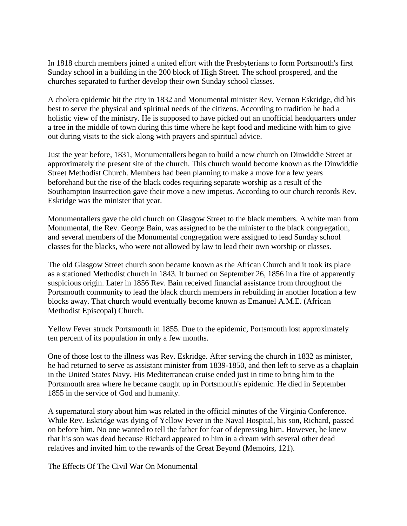In 1818 church members joined a united effort with the Presbyterians to form Portsmouth's first Sunday school in a building in the 200 block of High Street. The school prospered, and the churches separated to further develop their own Sunday school classes.

A cholera epidemic hit the city in 1832 and Monumental minister Rev. Vernon Eskridge, did his best to serve the physical and spiritual needs of the citizens. According to tradition he had a holistic view of the ministry. He is supposed to have picked out an unofficial headquarters under a tree in the middle of town during this time where he kept food and medicine with him to give out during visits to the sick along with prayers and spiritual advice.

Just the year before, 1831, Monumentallers began to build a new church on Dinwiddie Street at approximately the present site of the church. This church would become known as the Dinwiddie Street Methodist Church. Members had been planning to make a move for a few years beforehand but the rise of the black codes requiring separate worship as a result of the Southampton Insurrection gave their move a new impetus. According to our church records Rev. Eskridge was the minister that year.

Monumentallers gave the old church on Glasgow Street to the black members. A white man from Monumental, the Rev. George Bain, was assigned to be the minister to the black congregation, and several members of the Monumental congregation were assigned to lead Sunday school classes for the blacks, who were not allowed by law to lead their own worship or classes.

The old Glasgow Street church soon became known as the African Church and it took its place as a stationed Methodist church in 1843. It burned on September 26, 1856 in a fire of apparently suspicious origin. Later in 1856 Rev. Bain received financial assistance from throughout the Portsmouth community to lead the black church members in rebuilding in another location a few blocks away. That church would eventually become known as Emanuel A.M.E. (African Methodist Episcopal) Church.

Yellow Fever struck Portsmouth in 1855. Due to the epidemic, Portsmouth lost approximately ten percent of its population in only a few months.

One of those lost to the illness was Rev. Eskridge. After serving the church in 1832 as minister, he had returned to serve as assistant minister from 1839-1850, and then left to serve as a chaplain in the United States Navy. His Mediterranean cruise ended just in time to bring him to the Portsmouth area where he became caught up in Portsmouth's epidemic. He died in September 1855 in the service of God and humanity.

A supernatural story about him was related in the official minutes of the Virginia Conference. While Rev. Eskridge was dying of Yellow Fever in the Naval Hospital, his son, Richard, passed on before him. No one wanted to tell the father for fear of depressing him. However, he knew that his son was dead because Richard appeared to him in a dream with several other dead relatives and invited him to the rewards of the Great Beyond (Memoirs, 121).

The Effects Of The Civil War On Monumental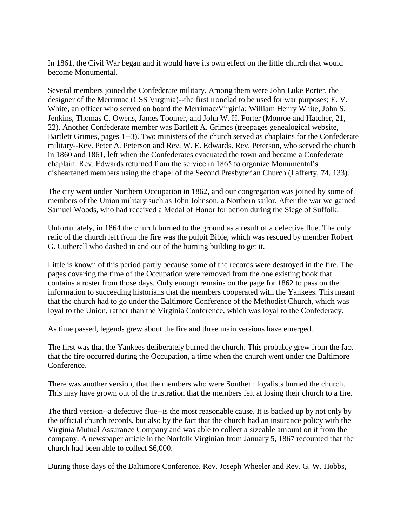In 1861, the Civil War began and it would have its own effect on the little church that would become Monumental.

Several members joined the Confederate military. Among them were John Luke Porter, the designer of the Merrimac (CSS Virginia)--the first ironclad to be used for war purposes; E. V. White, an officer who served on board the Merrimac/Virginia; William Henry White, John S. Jenkins, Thomas C. Owens, James Toomer, and John W. H. Porter (Monroe and Hatcher, 21, 22). Another Confederate member was Bartlett A. Grimes (treepages genealogical website, Bartlett Grimes, pages 1--3). Two ministers of the church served as chaplains for the Confederate military--Rev. Peter A. Peterson and Rev. W. E. Edwards. Rev. Peterson, who served the church in 1860 and 1861, left when the Confederates evacuated the town and became a Confederate chaplain. Rev. Edwards returned from the service in 1865 to organize Monumental's disheartened members using the chapel of the Second Presbyterian Church (Lafferty, 74, 133).

The city went under Northern Occupation in 1862, and our congregation was joined by some of members of the Union military such as John Johnson, a Northern sailor. After the war we gained Samuel Woods, who had received a Medal of Honor for action during the Siege of Suffolk.

Unfortunately, in 1864 the church burned to the ground as a result of a defective flue. The only relic of the church left from the fire was the pulpit Bible, which was rescued by member Robert G. Cutherell who dashed in and out of the burning building to get it.

Little is known of this period partly because some of the records were destroyed in the fire. The pages covering the time of the Occupation were removed from the one existing book that contains a roster from those days. Only enough remains on the page for 1862 to pass on the information to succeeding historians that the members cooperated with the Yankees. This meant that the church had to go under the Baltimore Conference of the Methodist Church, which was loyal to the Union, rather than the Virginia Conference, which was loyal to the Confederacy.

As time passed, legends grew about the fire and three main versions have emerged.

The first was that the Yankees deliberately burned the church. This probably grew from the fact that the fire occurred during the Occupation, a time when the church went under the Baltimore Conference.

There was another version, that the members who were Southern loyalists burned the church. This may have grown out of the frustration that the members felt at losing their church to a fire.

The third version--a defective flue--is the most reasonable cause. It is backed up by not only by the official church records, but also by the fact that the church had an insurance policy with the Virginia Mutual Assurance Company and was able to collect a sizeable amount on it from the company. A newspaper article in the Norfolk Virginian from January 5, 1867 recounted that the church had been able to collect \$6,000.

During those days of the Baltimore Conference, Rev. Joseph Wheeler and Rev. G. W. Hobbs,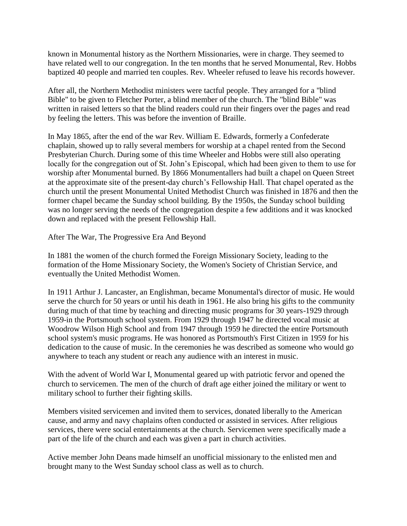known in Monumental history as the Northern Missionaries, were in charge. They seemed to have related well to our congregation. In the ten months that he served Monumental, Rev. Hobbs baptized 40 people and married ten couples. Rev. Wheeler refused to leave his records however.

After all, the Northern Methodist ministers were tactful people. They arranged for a "blind Bible" to be given to Fletcher Porter, a blind member of the church. The "blind Bible" was written in raised letters so that the blind readers could run their fingers over the pages and read by feeling the letters. This was before the invention of Braille.

In May 1865, after the end of the war Rev. William E. Edwards, formerly a Confederate chaplain, showed up to rally several members for worship at a chapel rented from the Second Presbyterian Church. During some of this time Wheeler and Hobbs were still also operating locally for the congregation out of St. John's Episcopal, which had been given to them to use for worship after Monumental burned. By 1866 Monumentallers had built a chapel on Queen Street at the approximate site of the present-day church's Fellowship Hall. That chapel operated as the church until the present Monumental United Methodist Church was finished in 1876 and then the former chapel became the Sunday school building. By the 1950s, the Sunday school building was no longer serving the needs of the congregation despite a few additions and it was knocked down and replaced with the present Fellowship Hall.

After The War, The Progressive Era And Beyond

In 1881 the women of the church formed the Foreign Missionary Society, leading to the formation of the Home Missionary Society, the Women's Society of Christian Service, and eventually the United Methodist Women.

In 1911 Arthur J. Lancaster, an Englishman, became Monumental's director of music. He would serve the church for 50 years or until his death in 1961. He also bring his gifts to the community during much of that time by teaching and directing music programs for 30 years-1929 through 1959-in the Portsmouth school system. From 1929 through 1947 he directed vocal music at Woodrow Wilson High School and from 1947 through 1959 he directed the entire Portsmouth school system's music programs. He was honored as Portsmouth's First Citizen in 1959 for his dedication to the cause of music. In the ceremonies he was described as someone who would go anywhere to teach any student or reach any audience with an interest in music.

With the advent of World War I, Monumental geared up with patriotic fervor and opened the church to servicemen. The men of the church of draft age either joined the military or went to military school to further their fighting skills.

Members visited servicemen and invited them to services, donated liberally to the American cause, and army and navy chaplains often conducted or assisted in services. After religious services, there were social entertainments at the church. Servicemen were specifically made a part of the life of the church and each was given a part in church activities.

Active member John Deans made himself an unofficial missionary to the enlisted men and brought many to the West Sunday school class as well as to church.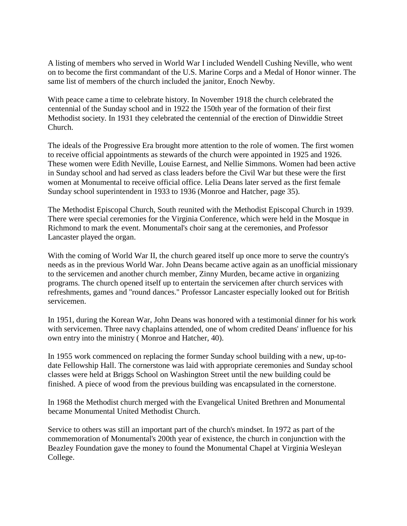A listing of members who served in World War I included Wendell Cushing Neville, who went on to become the first commandant of the U.S. Marine Corps and a Medal of Honor winner. The same list of members of the church included the janitor, Enoch Newby.

With peace came a time to celebrate history. In November 1918 the church celebrated the centennial of the Sunday school and in 1922 the 150th year of the formation of their first Methodist society. In 1931 they celebrated the centennial of the erection of Dinwiddie Street Church.

The ideals of the Progressive Era brought more attention to the role of women. The first women to receive official appointments as stewards of the church were appointed in 1925 and 1926. These women were Edith Neville, Louise Earnest, and Nellie Simmons. Women had been active in Sunday school and had served as class leaders before the Civil War but these were the first women at Monumental to receive official office. Lelia Deans later served as the first female Sunday school superintendent in 1933 to 1936 (Monroe and Hatcher, page 35).

The Methodist Episcopal Church, South reunited with the Methodist Episcopal Church in 1939. There were special ceremonies for the Virginia Conference, which were held in the Mosque in Richmond to mark the event. Monumental's choir sang at the ceremonies, and Professor Lancaster played the organ.

With the coming of World War II, the church geared itself up once more to serve the country's needs as in the previous World War. John Deans became active again as an unofficial missionary to the servicemen and another church member, Zinny Murden, became active in organizing programs. The church opened itself up to entertain the servicemen after church services with refreshments, games and "round dances." Professor Lancaster especially looked out for British servicemen.

In 1951, during the Korean War, John Deans was honored with a testimonial dinner for his work with servicemen. Three navy chaplains attended, one of whom credited Deans' influence for his own entry into the ministry ( Monroe and Hatcher, 40).

In 1955 work commenced on replacing the former Sunday school building with a new, up-todate Fellowship Hall. The cornerstone was laid with appropriate ceremonies and Sunday school classes were held at Briggs School on Washington Street until the new building could be finished. A piece of wood from the previous building was encapsulated in the cornerstone.

In 1968 the Methodist church merged with the Evangelical United Brethren and Monumental became Monumental United Methodist Church.

Service to others was still an important part of the church's mindset. In 1972 as part of the commemoration of Monumental's 200th year of existence, the church in conjunction with the Beazley Foundation gave the money to found the Monumental Chapel at Virginia Wesleyan College.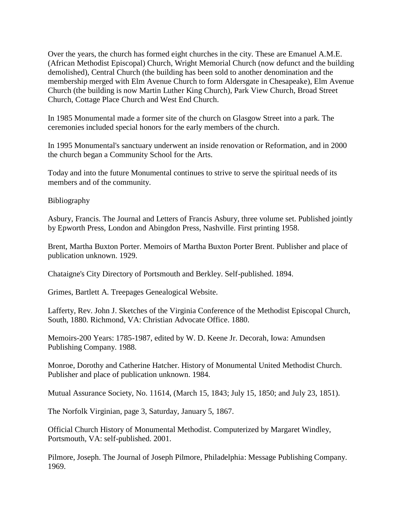Over the years, the church has formed eight churches in the city. These are Emanuel A.M.E. (African Methodist Episcopal) Church, Wright Memorial Church (now defunct and the building demolished), Central Church (the building has been sold to another denomination and the membership merged with Elm Avenue Church to form Aldersgate in Chesapeake), Elm Avenue Church (the building is now Martin Luther King Church), Park View Church, Broad Street Church, Cottage Place Church and West End Church.

In 1985 Monumental made a former site of the church on Glasgow Street into a park. The ceremonies included special honors for the early members of the church.

In 1995 Monumental's sanctuary underwent an inside renovation or Reformation, and in 2000 the church began a Community School for the Arts.

Today and into the future Monumental continues to strive to serve the spiritual needs of its members and of the community.

Bibliography

Asbury, Francis. The Journal and Letters of Francis Asbury, three volume set. Published jointly by Epworth Press, London and Abingdon Press, Nashville. First printing 1958.

Brent, Martha Buxton Porter. Memoirs of Martha Buxton Porter Brent. Publisher and place of publication unknown. 1929.

Chataigne's City Directory of Portsmouth and Berkley. Self-published. 1894.

Grimes, Bartlett A. Treepages Genealogical Website.

Lafferty, Rev. John J. Sketches of the Virginia Conference of the Methodist Episcopal Church, South, 1880. Richmond, VA: Christian Advocate Office. 1880.

Memoirs-200 Years: 1785-1987, edited by W. D. Keene Jr. Decorah, Iowa: Amundsen Publishing Company. 1988.

Monroe, Dorothy and Catherine Hatcher. History of Monumental United Methodist Church. Publisher and place of publication unknown. 1984.

Mutual Assurance Society, No. 11614, (March 15, 1843; July 15, 1850; and July 23, 1851).

The Norfolk Virginian, page 3, Saturday, January 5, 1867.

Official Church History of Monumental Methodist. Computerized by Margaret Windley, Portsmouth, VA: self-published. 2001.

Pilmore, Joseph. The Journal of Joseph Pilmore, Philadelphia: Message Publishing Company. 1969.